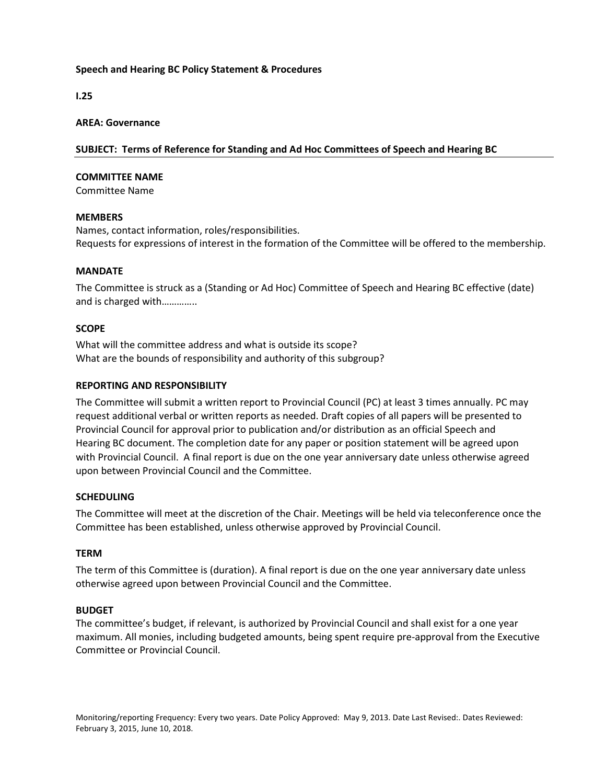# Speech and Hearing BC Policy Statement & Procedures

I.25

#### AREA: Governance

# SUBJECT: Terms of Reference for Standing and Ad Hoc Committees of Speech and Hearing BC

#### COMMITTEE NAME

Committee Name

#### MEMBERS

Names, contact information, roles/responsibilities. Requests for expressions of interest in the formation of the Committee will be offered to the membership.

### MANDATE

The Committee is struck as a (Standing or Ad Hoc) Committee of Speech and Hearing BC effective (date) and is charged with…………..

### **SCOPE**

What will the committee address and what is outside its scope? What are the bounds of responsibility and authority of this subgroup?

### REPORTING AND RESPONSIBILITY

The Committee will submit a written report to Provincial Council (PC) at least 3 times annually. PC may request additional verbal or written reports as needed. Draft copies of all papers will be presented to Provincial Council for approval prior to publication and/or distribution as an official Speech and Hearing BC document. The completion date for any paper or position statement will be agreed upon with Provincial Council. A final report is due on the one year anniversary date unless otherwise agreed upon between Provincial Council and the Committee.

# SCHEDULING

The Committee will meet at the discretion of the Chair. Meetings will be held via teleconference once the Committee has been established, unless otherwise approved by Provincial Council.

# TERM

The term of this Committee is (duration). A final report is due on the one year anniversary date unless otherwise agreed upon between Provincial Council and the Committee.

# BUDGET

The committee's budget, if relevant, is authorized by Provincial Council and shall exist for a one year maximum. All monies, including budgeted amounts, being spent require pre-approval from the Executive Committee or Provincial Council.